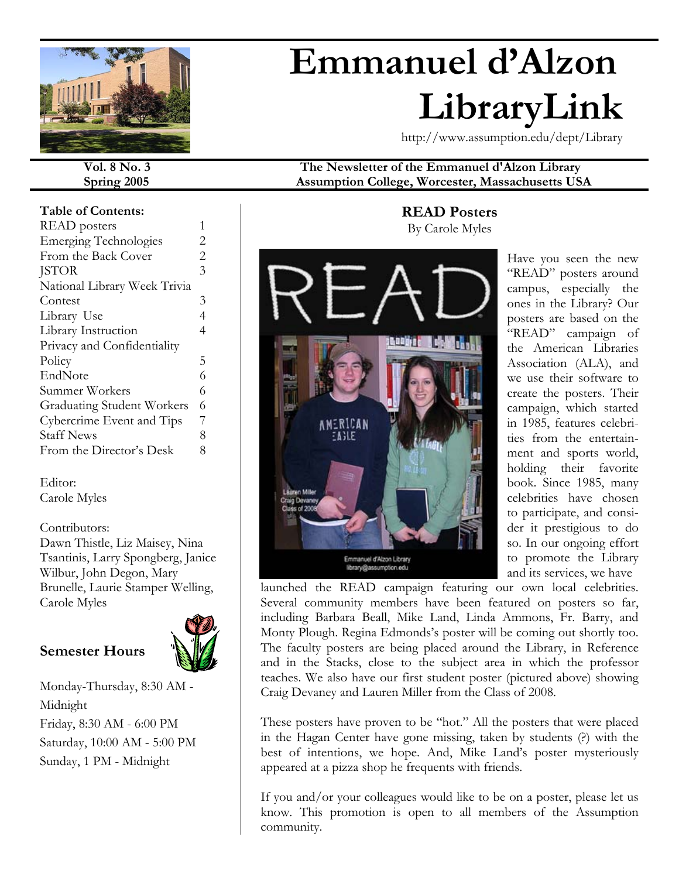

# **Emmanuel d'Alzon LibraryLink**

http://www.assumption.edu/dept/Library

#### **Table of Contents:**

| READ posters                      |                |
|-----------------------------------|----------------|
| <b>Emerging Technologies</b>      | 2              |
| From the Back Cover               | $\overline{2}$ |
| <b>JSTOR</b>                      | 3              |
| National Library Week Trivia      |                |
| Contest                           | 3              |
| Library Use                       | 4              |
| Library Instruction               | 4              |
| Privacy and Confidentiality       |                |
| Policy                            | 5              |
| EndNote                           | 6              |
| Summer Workers                    | 6              |
| <b>Graduating Student Workers</b> | 6              |
| Cybercrime Event and Tips         | 7              |
| <b>Staff News</b>                 | 8              |
| From the Director's Desk          | 8              |
|                                   |                |

#### Editor: Carole Myles

## Contributors:

Dawn Thistle, Liz Maisey, Nina Tsantinis, Larry Spongberg, Janice Wilbur, John Degon, Mary Brunelle, Laurie Stamper Welling, Carole Myles

# **Semester Hours**



Monday-Thursday, 8:30 AM - Midnight Friday, 8:30 AM - 6:00 PM Saturday, 10:00 AM - 5:00 PM Sunday, 1 PM - Midnight

**Vol. 8 No. 3 The Newsletter of the Emmanuel d'Alzon Library Spring 2005 Assumption College, Worcester, Massachusetts USA** 

# **READ Posters** By Carole Myles



Have you seen the new "READ" posters around campus, especially the ones in the Library? Our posters are based on the "READ" campaign of the American Libraries Association (ALA), and we use their software to create the posters. Their campaign, which started in 1985, features celebrities from the entertainment and sports world, holding their favorite book. Since 1985, many celebrities have chosen to participate, and consider it prestigious to do so. In our ongoing effort to promote the Library and its services, we have

launched the READ campaign featuring our own local celebrities. Several community members have been featured on posters so far, including Barbara Beall, Mike Land, Linda Ammons, Fr. Barry, and Monty Plough. Regina Edmonds's poster will be coming out shortly too. The faculty posters are being placed around the Library, in Reference and in the Stacks, close to the subject area in which the professor teaches. We also have our first student poster (pictured above) showing Craig Devaney and Lauren Miller from the Class of 2008.

These posters have proven to be "hot." All the posters that were placed in the Hagan Center have gone missing, taken by students (?) with the best of intentions, we hope. And, Mike Land's poster mysteriously appeared at a pizza shop he frequents with friends.

If you and/or your colleagues would like to be on a poster, please let us know. This promotion is open to all members of the Assumption community.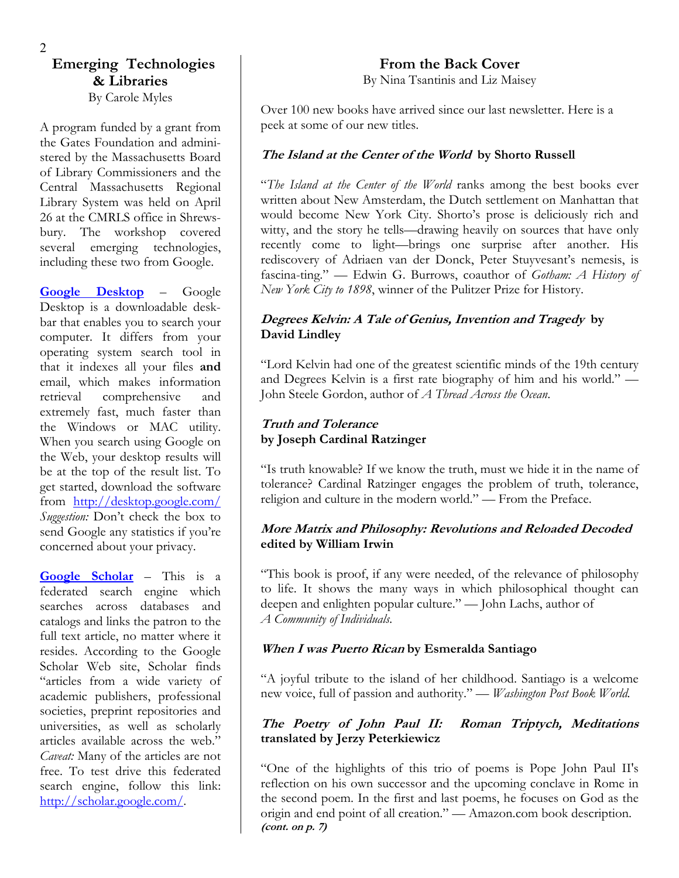# **Emerging Technologies & Libraries**  By Carole Myles

A program funded by a grant from the Gates Foundation and administered by the Massachusetts Board of Library Commissioners and the Central Massachusetts Regional Library System was held on April 26 at the CMRLS office in Shrewsbury. The workshop covered several emerging technologies, including these two from Google.

**[Google Desktop](http://desktop.google.com/)** – Google Desktop is a downloadable deskbar that enables you to search your computer. It differs from your operating system search tool in that it indexes all your files **and** email, which makes information retrieval comprehensive and extremely fast, much faster than the Windows or MAC utility. When you search using Google on the Web, your desktop results will be at the top of the result list. To get started, download the software from <http://desktop.google.com/> *Suggestion:* Don't check the box to send Google any statistics if you're concerned about your privacy.

**[Google Scholar](http://scholar.google.com/)** – This is a federated search engine which searches across databases and catalogs and links the patron to the full text article, no matter where it resides. According to the Google Scholar Web site, Scholar finds "articles from a wide variety of academic publishers, professional societies, preprint repositories and universities, as well as scholarly articles available across the web." *Caveat:* Many of the articles are not free. To test drive this federated search engine, follow this link: [http://scholar.google.com/.](http://scholar.google.com/)

# **From the Back Cover**

By Nina Tsantinis and Liz Maisey

Over 100 new books have arrived since our last newsletter. Here is a peek at some of our new titles.

# **The Island at the Center of the World by Shorto Russell**

"*The Island at the Center of the World* ranks among the best books ever written about New Amsterdam, the Dutch settlement on Manhattan that would become New York City. Shorto's prose is deliciously rich and witty, and the story he tells—drawing heavily on sources that have only recently come to light—brings one surprise after another. His rediscovery of Adriaen van der Donck, Peter Stuyvesant's nemesis, is fascina-ting." — Edwin G. Burrows, coauthor of *Gotham: A History of New York City to 1898*, winner of the Pulitzer Prize for History.

### **Degrees Kelvin: A Tale of Genius, Invention and Tragedy by David Lindley**

"Lord Kelvin had one of the greatest scientific minds of the 19th century and Degrees Kelvin is a first rate biography of him and his world." — John Steele Gordon, author of *A Thread Across the Ocean*.

# **Truth and Tolerance by Joseph Cardinal Ratzinger**

"Is truth knowable? If we know the truth, must we hide it in the name of tolerance? Cardinal Ratzinger engages the problem of truth, tolerance, religion and culture in the modern world." — From the Preface.

#### **More Matrix and Philosophy: Revolutions and Reloaded Decoded edited by William Irwin**

"This book is proof, if any were needed, of the relevance of philosophy to life. It shows the many ways in which philosophical thought can deepen and enlighten popular culture." — John Lachs, author of *A Community of Individuals.*

#### **When I was Puerto Rican by Esmeralda Santiago**

"A joyful tribute to the island of her childhood. Santiago is a welcome new voice, full of passion and authority." — *Washington Post Book World.* 

#### **The Poetry of John Paul II: Roman Triptych, Meditations translated by Jerzy Peterkiewicz**

"One of the highlights of this trio of poems is Pope John Paul II's reflection on his own successor and the upcoming conclave in Rome in the second poem. In the first and last poems, he focuses on God as the origin and end point of all creation." — Amazon.com book description. **(cont. on p. 7)**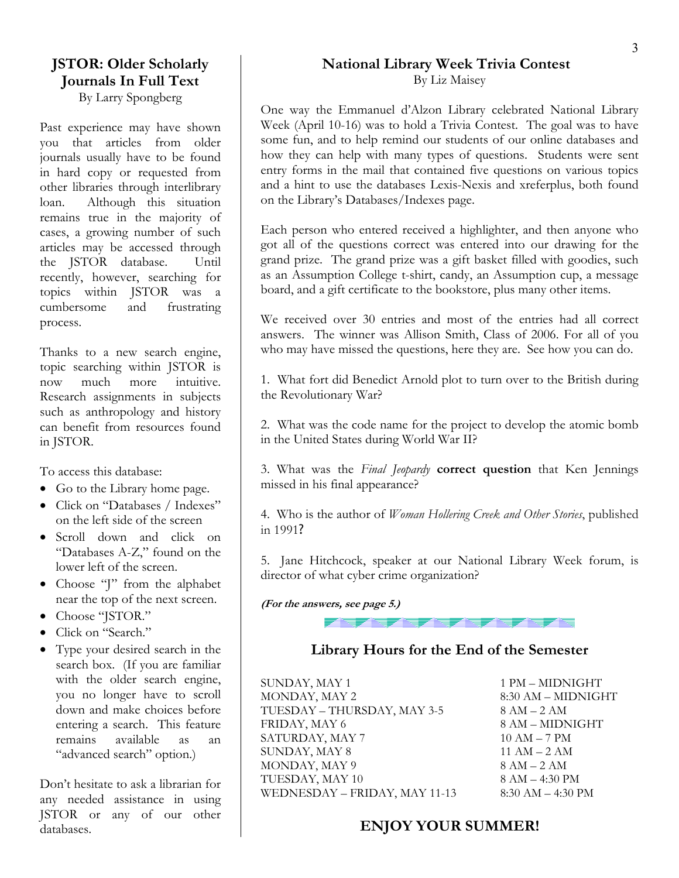# **JSTOR: Older Scholarly Journals In Full Text**

By Larry Spongberg

Past experience may have shown you that articles from older journals usually have to be found in hard copy or requested from other libraries through interlibrary loan. Although this situation remains true in the majority of cases, a growing number of such articles may be accessed through the JSTOR database. Until recently, however, searching for topics within JSTOR was a cumbersome and frustrating process.

topic searching within JSTOR is now much more intuitive. Research assignments in subjects such as anthropology and history can benefit from resources found in JSTOR.

To access this database:

- Go to the Library home page.
- Click on "Databases / Indexes"
- Scroll down and click on "Databases A-Z," found on the
- near the top of the next screen. **(For the answers, see page 5.)**
- Choose "JSTOR."
- Click on "Search."
- Type your desired search in the search box. (If you are familiar with the older search engine, you no longer have to scroll down and make choices before entering a search. This feature remains available as an "advanced search" option.)

any needed assistance in using JSTOR or any of our other databases.

#### **National Library Week Trivia Contest**  By Liz Maisey

One way the Emmanuel d'Alzon Library celebrated National Library Week (April 10-16) was to hold a Trivia Contest. The goal was to have some fun, and to help remind our students of our online databases and how they can help with many types of questions. Students were sent entry forms in the mail that contained five questions on various topics and a hint to use the databases Lexis-Nexis and xreferplus, both found on the Library's Databases/Indexes page.

Each person who entered received a highlighter, and then anyone who got all of the questions correct was entered into our drawing for the grand prize. The grand prize was a gift basket filled with goodies, such as an Assumption College t-shirt, candy, an Assumption cup, a message board, and a gift certificate to the bookstore, plus many other items.

We received over 30 entries and most of the entries had all correct answers. The winner was Allison Smith, Class of 2006. For all of you Thanks to a new search engine, who may have missed the questions, here they are. See how you can do.

> 1. What fort did Benedict Arnold plot to turn over to the British during the Revolutionary War?

> 2. What was the code name for the project to develop the atomic bomb in the United States during World War II?

> 3. What was the *Final Jeopardy* **correct question** that Ken Jennings missed in his final appearance?

on the left side of the screen 4. Who is the author of *Woman Hollering Creek and Other Stories*, published<br>in 1991?

Lower left of the screen.  $\begin{vmatrix} 5. \end{vmatrix}$  Jane Hitchcock, speaker at our National Library Week forum, is • Choose "J" from the alphabet director of what cyber crime organization?



# **Library Hours for the End of the Semester**

SUNDAY, MAY 1 1 PM – MIDNIGHT MONDAY, MAY 2 8:30 AM – MIDNIGHT  $TUESDAY - THURSDAY, MAY 3-5$  8 AM  $-2$  AM FRIDAY, MAY 6 8 AM – MIDNIGHT SATURDAY, MAY 7 10 AM – 7 PM SUNDAY, MAY 8  $11 \text{ AM} - 2 \text{ AM}$ MONDAY, MAY 9 8 AM – 2 AM Don't hesitate to ask a librarian for TUESDAY, MAY 10 8 AM – 4:30 PM WEDNESDAY – FRIDAY, MAY 11-13 8:30 AM – 4:30 PM WEDNESDAY – FRIDAY, MAY 11-13

# **ENJOY YOUR SUMMER!**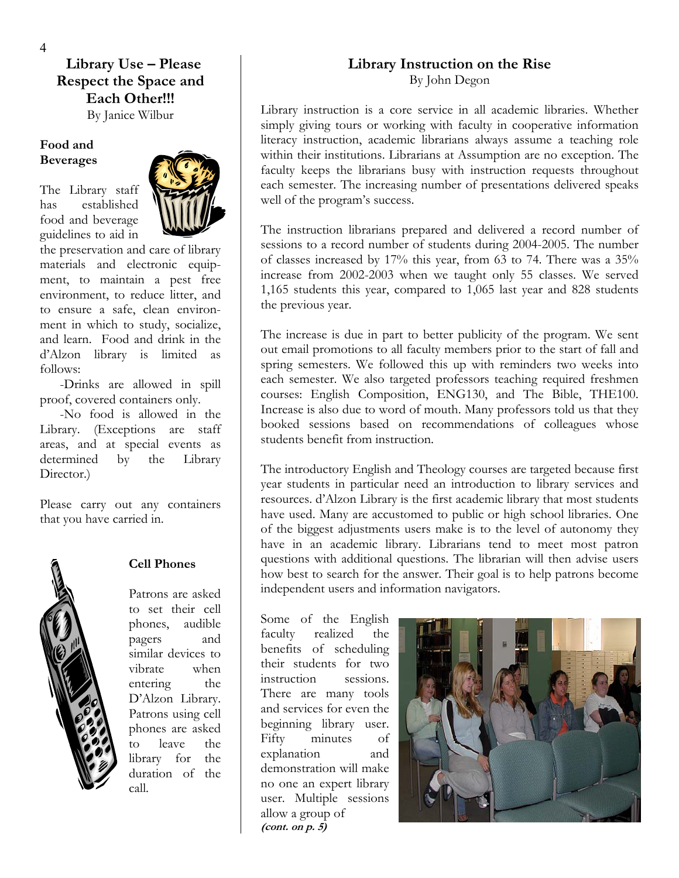**Library Use – Please Respect the Space and Each Other!!!** 

By Janice Wilbur

#### **Food and Beverages**

The Library staff has established food and beverage guidelines to aid in



the preservation and care of library materials and electronic equipment, to maintain a pest free environment, to reduce litter, and to ensure a safe, clean environment in which to study, socialize, and learn. Food and drink in the d'Alzon library is limited as follows:

-Drinks are allowed in spill proof, covered containers only.

-No food is allowed in the Library. (Exceptions are staff areas, and at special events as determined by the Library Director.)

Please carry out any containers that you have carried in.



#### **Cell Phones**

Patrons are asked to set their cell phones, audible pagers and similar devices to vibrate when entering the D'Alzon Library. Patrons using cell phones are asked to leave the library for the duration of the call.

#### **Library Instruction on the Rise**  By John Degon

Library instruction is a core service in all academic libraries. Whether simply giving tours or working with faculty in cooperative information literacy instruction, academic librarians always assume a teaching role within their institutions. Librarians at Assumption are no exception. The faculty keeps the librarians busy with instruction requests throughout each semester. The increasing number of presentations delivered speaks well of the program's success.

The instruction librarians prepared and delivered a record number of sessions to a record number of students during 2004-2005. The number of classes increased by 17% this year, from 63 to 74. There was a 35% increase from 2002-2003 when we taught only 55 classes. We served 1,165 students this year, compared to 1,065 last year and 828 students the previous year.

The increase is due in part to better publicity of the program. We sent out email promotions to all faculty members prior to the start of fall and spring semesters. We followed this up with reminders two weeks into each semester. We also targeted professors teaching required freshmen courses: English Composition, ENG130, and The Bible, THE100. Increase is also due to word of mouth. Many professors told us that they booked sessions based on recommendations of colleagues whose students benefit from instruction.

The introductory English and Theology courses are targeted because first year students in particular need an introduction to library services and resources. d'Alzon Library is the first academic library that most students have used. Many are accustomed to public or high school libraries. One of the biggest adjustments users make is to the level of autonomy they have in an academic library. Librarians tend to meet most patron questions with additional questions. The librarian will then advise users how best to search for the answer. Their goal is to help patrons become independent users and information navigators.

Some of the English faculty realized the benefits of scheduling their students for two instruction sessions. There are many tools and services for even the beginning library user. Fifty minutes of explanation and demonstration will make no one an expert library user. Multiple sessions allow a group of **(cont. on p. 5)** 

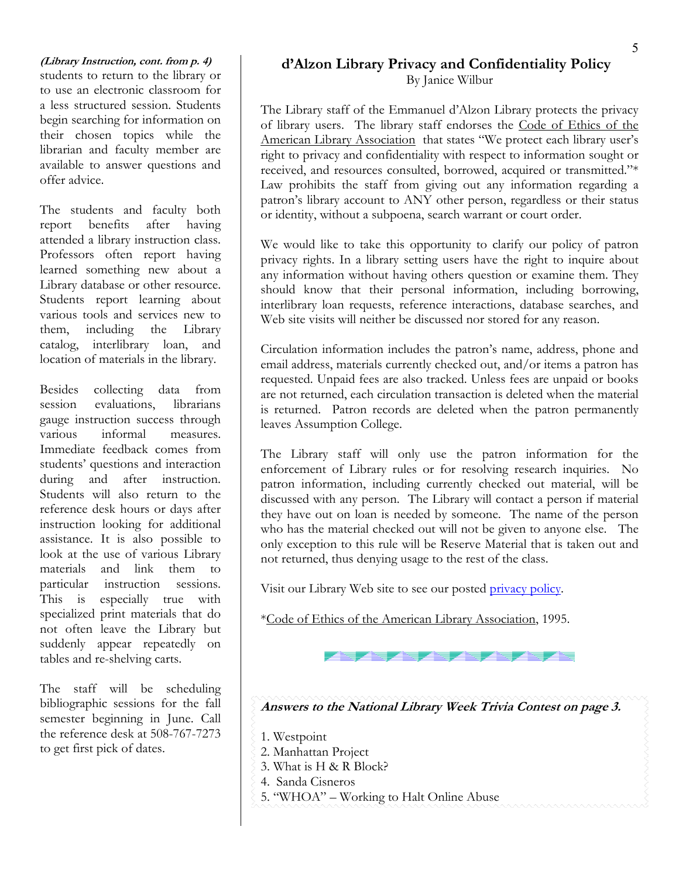#### **(Library Instruction, cont. from p. 4)**  students to return to the library or to use an electronic classroom for a less structured session. Students begin searching for information on their chosen topics while the librarian and faculty member are available to answer questions and offer advice.

The students and faculty both report benefits after having attended a library instruction class. Professors often report having learned something new about a Library database or other resource. Students report learning about various tools and services new to them, including the Library catalog, interlibrary loan, and location of materials in the library.

Besides collecting data from session evaluations, librarians gauge instruction success through various informal measures. Immediate feedback comes from students' questions and interaction during and after instruction. Students will also return to the reference desk hours or days after instruction looking for additional assistance. It is also possible to look at the use of various Library materials and link them to particular instruction sessions. This is especially true with specialized print materials that do not often leave the Library but suddenly appear repeatedly on tables and re-shelving carts.

The staff will be scheduling bibliographic sessions for the fall semester beginning in June. Call the reference desk at 508-767-7273 to get first pick of dates.

# **d'Alzon Library Privacy and Confidentiality Policy**

By Janice Wilbur

The Library staff of the Emmanuel d'Alzon Library protects the privacy of library users. The library staff endorses the Code of Ethics of the American Library Association that states "We protect each library user's right to privacy and confidentiality with respect to information sought or received, and resources consulted, borrowed, acquired or transmitted."\* Law prohibits the staff from giving out any information regarding a patron's library account to ANY other person, regardless or their status or identity, without a subpoena, search warrant or court order.

We would like to take this opportunity to clarify our policy of patron privacy rights. In a library setting users have the right to inquire about any information without having others question or examine them. They should know that their personal information, including borrowing, interlibrary loan requests, reference interactions, database searches, and Web site visits will neither be discussed nor stored for any reason.

Circulation information includes the patron's name, address, phone and email address, materials currently checked out, and/or items a patron has requested. Unpaid fees are also tracked. Unless fees are unpaid or books are not returned, each circulation transaction is deleted when the material is returned. Patron records are deleted when the patron permanently leaves Assumption College.

The Library staff will only use the patron information for the enforcement of Library rules or for resolving research inquiries. No patron information, including currently checked out material, will be discussed with any person. The Library will contact a person if material they have out on loan is needed by someone. The name of the person who has the material checked out will not be given to anyone else. The only exception to this rule will be Reserve Material that is taken out and not returned, thus denying usage to the rest of the class.

Visit our Library Web site to see our posted [privacy policy.](http://www.assumption.edu/dept/library/resources/privacypolicy.html)

\*Code of Ethics of the American Library Association, 1995.

不要 不要 不要 不要

**Answers to the National Library Week Trivia Contest on page 3.** 

- 1. Westpoint
- 2. Manhattan Project
- 3. What is H & R Block?
- 4. Sanda Cisneros
- 5. "WHOA" Working to Halt Online Abuse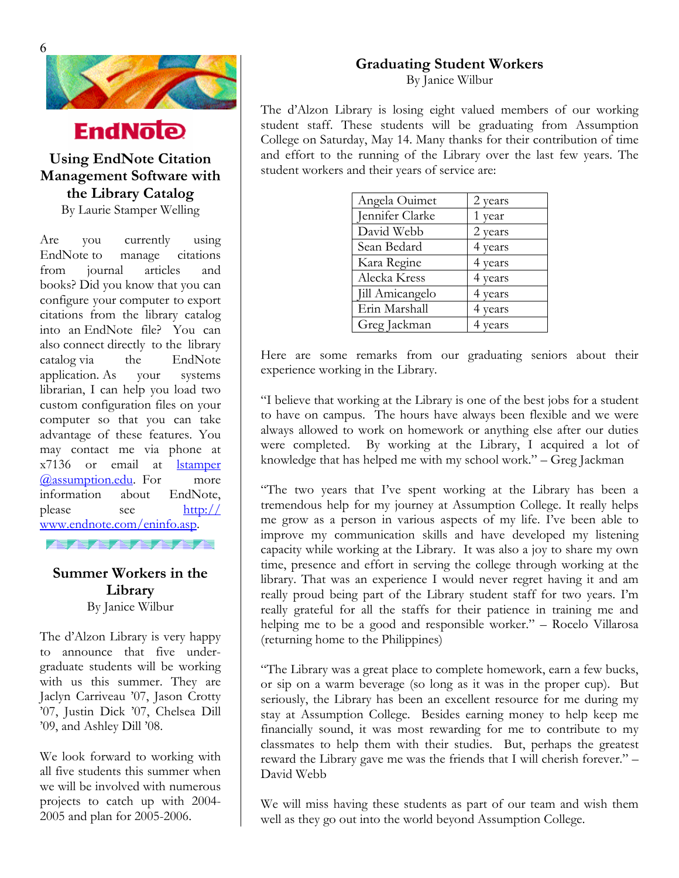

# **EndNote**

# **Management Software with**  the Library Catalog

By Laurie Stamper Welling

Are you currently using EndNote to manage citations from journal articles and books? Did you know that you can configure your computer to export citations from the library catalog into an EndNote file? You can also connect directly to the library catalog via the EndNote application. As your systems librarian, I can help you load two custom configuration files on your computer so that you can take advantage of these features. You may contact me via phone at x7136 or email at [lstamper](mailto:lstamper@assumption.edu) [@assumption.edu.](mailto:lstamper@assumption.edu) For more information about EndNote, please see [http://](http://www.endnote.com/eninfo.asp) [www.endnote.com/eninfo.asp](http://www.endnote.com/eninfo.asp).

# **Summer Workers in the Library**  By Janice Wilbur

**Alternative Actions** 

The d'Alzon Library is very happy to announce that five undergraduate students will be working with us this summer. They are Jaclyn Carriveau '07, Jason Crotty '07, Justin Dick '07, Chelsea Dill '09, and Ashley Dill '08.

We look forward to working with all five students this summer when we will be involved with numerous projects to catch up with 2004- 2005 and plan for 2005-2006.

#### **Graduating Student Workers**

By Janice Wilbur

The d'Alzon Library is losing eight valued members of our working student staff. These students will be graduating from Assumption College on Saturday, May 14. Many thanks for their contribution of time and effort to the running of the Library over the last few years. The Using EndNote Citation and effort to the running of the Library ov<br> **Lang agency of Software with** student workers and their years of service are:

| Angela Ouimet   | 2 years |
|-----------------|---------|
| Jennifer Clarke | 1 year  |
| David Webb      | 2 years |
| Sean Bedard     | 4 years |
| Kara Regine     | 4 years |
| Alecka Kress    | 4 years |
| Jill Amicangelo | 4 years |
| Erin Marshall   | 4 years |
| Greg Jackman    | 4 years |

Here are some remarks from our graduating seniors about their experience working in the Library.

"I believe that working at the Library is one of the best jobs for a student to have on campus. The hours have always been flexible and we were always allowed to work on homework or anything else after our duties were completed. By working at the Library, I acquired a lot of knowledge that has helped me with my school work." – Greg Jackman

"The two years that I've spent working at the Library has been a tremendous help for my journey at Assumption College. It really helps me grow as a person in various aspects of my life. I've been able to improve my communication skills and have developed my listening capacity while working at the Library. It was also a joy to share my own time, presence and effort in serving the college through working at the library. That was an experience I would never regret having it and am really proud being part of the Library student staff for two years. I'm really grateful for all the staffs for their patience in training me and helping me to be a good and responsible worker." – Rocelo Villarosa (returning home to the Philippines)

"The Library was a great place to complete homework, earn a few bucks, or sip on a warm beverage (so long as it was in the proper cup). But seriously, the Library has been an excellent resource for me during my stay at Assumption College. Besides earning money to help keep me financially sound, it was most rewarding for me to contribute to my classmates to help them with their studies. But, perhaps the greatest reward the Library gave me was the friends that I will cherish forever." – David Webb

We will miss having these students as part of our team and wish them well as they go out into the world beyond Assumption College.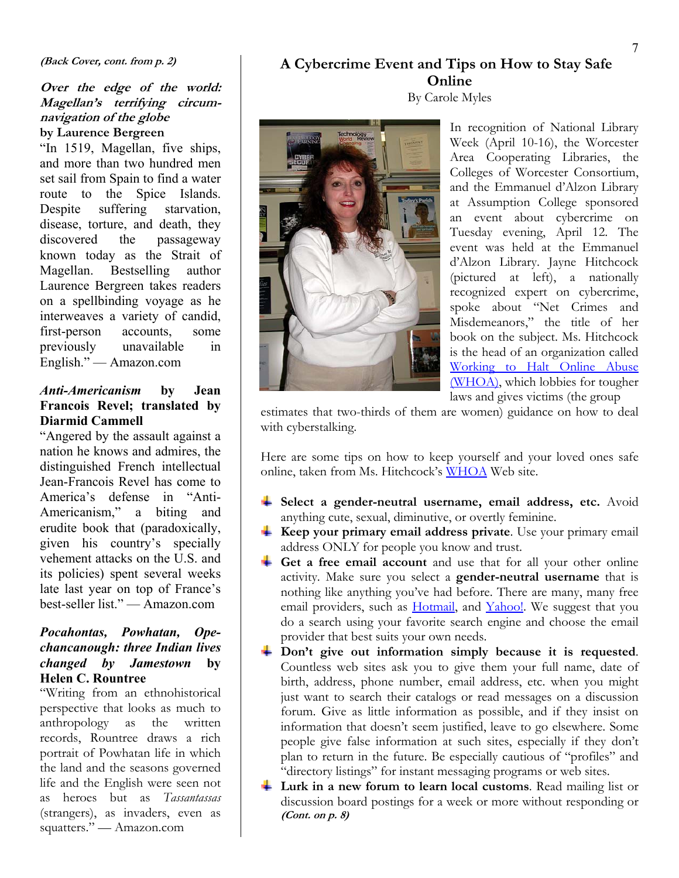#### **(Back Cover, cont. from p. 2)**

#### **Over the edge of the world: Magellan's terrifying circumnavigation of the globe by Laurence Bergreen**

"In 1519, Magellan, five ships, and more than two hundred men set sail from Spain to find a water route to the Spice Islands. Despite suffering starvation, disease, torture, and death, they discovered the passageway known today as the Strait of Magellan. Bestselling author Laurence Bergreen takes readers on a spellbinding voyage as he interweaves a variety of candid, first-person accounts, some previously unavailable in English." — Amazon.com

#### *Anti-Americanism* **by Jean Francois Revel; translated by Diarmid Cammell**

**EXECUTE: WE VALUATE:** With cyberstalking.<br>
"Angered by the assault against a nation he knows and admires, the distinguished French intellectual Jean-Francois Revel has come to America's defense in "Anti-Americanism," a biting and erudite book that (paradoxically, given his country's specially vehement attacks on the U.S. and its policies) spent several weeks late last year on top of France's best-seller list." — Amazon.com

#### *Pocahontas, Powhatan, Opechancanough: three Indian lives changed by Jamestown* **by Helen C. Rountree**

"Writing from an ethnohistorical perspective that looks as much to anthropology as the written records, Rountree draws a rich portrait of Powhatan life in which the land and the seasons governed life and the English were seen not as heroes but as *Tassantassas* (strangers), as invaders, even as squatters." — Amazon.com

# **A Cybercrime Event and Tips on How to Stay Safe Online**

#### By Carole Myles



In recognition of National Library Week (April 10-16), the Worcester Area Cooperating Libraries, the Colleges of Worcester Consortium, and the Emmanuel d'Alzon Library at Assumption College sponsored an event about cybercrime on Tuesday evening, April 12. The event was held at the Emmanuel d'Alzon Library. Jayne Hitchcock (pictured at left), a nationally recognized expert on cybercrime, spoke about "Net Crimes and Misdemeanors," the title of her book on the subject. Ms. Hitchcock is the head of an organization called [Working to Halt Online Abuse](http://www.haltabuse.org/)  [\(WHOA\),](http://www.haltabuse.org/) which lobbies for tougher laws and gives victims (the group

estimates that two-thirds of them are women) guidance on how to deal

Here are some tips on how to keep yourself and your loved ones safe online, taken from Ms. Hitchcock's WHOA Web site.

- **Select a gender-neutral username, email address, etc.** Avoid anything cute, sexual, diminutive, or overtly feminine.
- **Keep your primary email address private**. Use your primary email address ONLY for people you know and trust.
- **Get a free email account** and use that for all your other online activity. Make sure you select a **gender-neutral username** that is nothing like anything you've had before. There are many, many free email providers, such as **Hotmail**, and **Yahoo!**. We suggest that you do a search using your favorite search engine and choose the email provider that best suits your own needs.
- **Don't give out information simply because it is requested**. Countless web sites ask you to give them your full name, date of birth, address, phone number, email address, etc. when you might just want to search their catalogs or read messages on a discussion forum. Give as little information as possible, and if they insist on information that doesn't seem justified, leave to go elsewhere. Some people give false information at such sites, especially if they don't plan to return in the future. Be especially cautious of "profiles" and "directory listings" for instant messaging programs or web sites.
- Lurk in a new forum to learn local customs. Read mailing list or discussion board postings for a week or more without responding or **(Cont. on p. 8)**